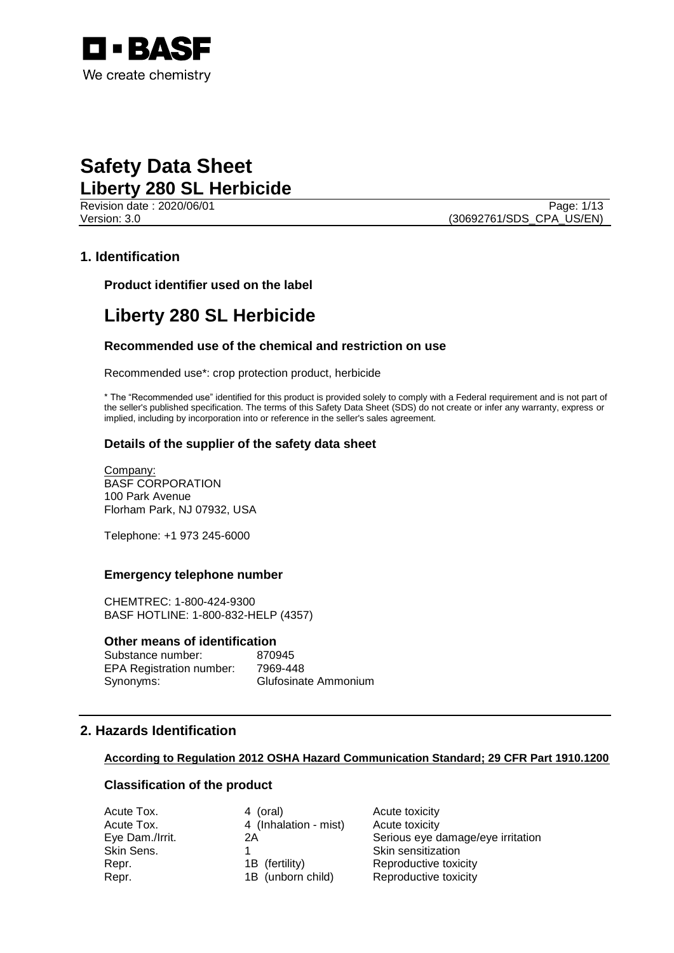

Revision date : 2020/06/01 Page: 1/13 Version: 3.0 (30692761/SDS\_CPA\_US/EN)

# **1. Identification**

**Product identifier used on the label**

# **Liberty 280 SL Herbicide**

## **Recommended use of the chemical and restriction on use**

Recommended use\*: crop protection product, herbicide

\* The "Recommended use" identified for this product is provided solely to comply with a Federal requirement and is not part of the seller's published specification. The terms of this Safety Data Sheet (SDS) do not create or infer any warranty, express or implied, including by incorporation into or reference in the seller's sales agreement.

## **Details of the supplier of the safety data sheet**

Company: BASF CORPORATION 100 Park Avenue Florham Park, NJ 07932, USA

Telephone: +1 973 245-6000

## **Emergency telephone number**

CHEMTREC: 1-800-424-9300 BASF HOTLINE: 1-800-832-HELP (4357)

## **Other means of identification**

Substance number: 870945 EPA Registration number: 7969-448 Synonyms: Glufosinate Ammonium

## **2. Hazards Identification**

## **According to Regulation 2012 OSHA Hazard Communication Standard; 29 CFR Part 1910.1200**

## **Classification of the product**

| Acute Tox.      | 4 (oral)              | Acute toxicity                    |
|-----------------|-----------------------|-----------------------------------|
| Acute Tox.      | 4 (Inhalation - mist) | Acute toxicity                    |
| Eye Dam./Irrit. | 2Α                    | Serious eye damage/eye irritation |
| Skin Sens.      |                       | Skin sensitization                |
| Repr.           | 1B (fertility)        | Reproductive toxicity             |
| Repr.           | 1B (unborn child)     | Reproductive toxicity             |
|                 |                       |                                   |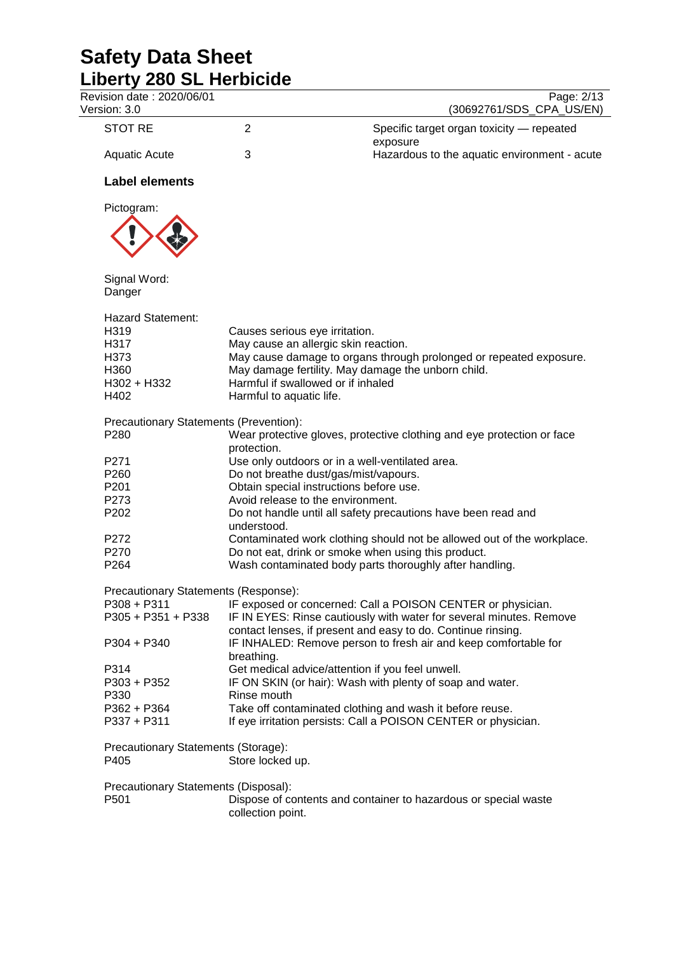| Revision date: 2020/06/01<br>Version: 3.0 |                                                     | Page: 2/13<br>(30692761/SDS_CPA_US/EN)                                                                                              |  |
|-------------------------------------------|-----------------------------------------------------|-------------------------------------------------------------------------------------------------------------------------------------|--|
| <b>STOT RE</b>                            | $\overline{2}$                                      | Specific target organ toxicity - repeated<br>exposure                                                                               |  |
| <b>Aquatic Acute</b>                      | 3                                                   | Hazardous to the aquatic environment - acute                                                                                        |  |
| <b>Label elements</b>                     |                                                     |                                                                                                                                     |  |
| Pictogram:                                |                                                     |                                                                                                                                     |  |
|                                           |                                                     |                                                                                                                                     |  |
| Signal Word:<br>Danger                    |                                                     |                                                                                                                                     |  |
| <b>Hazard Statement:</b>                  |                                                     |                                                                                                                                     |  |
| H319                                      | Causes serious eye irritation.                      |                                                                                                                                     |  |
| H317                                      | May cause an allergic skin reaction.                |                                                                                                                                     |  |
| H373                                      |                                                     | May cause damage to organs through prolonged or repeated exposure.                                                                  |  |
| H360                                      | May damage fertility. May damage the unborn child.  |                                                                                                                                     |  |
| H302 + H332                               | Harmful if swallowed or if inhaled                  |                                                                                                                                     |  |
| H402                                      | Harmful to aquatic life.                            |                                                                                                                                     |  |
| Precautionary Statements (Prevention):    |                                                     |                                                                                                                                     |  |
| P280                                      | protection.                                         | Wear protective gloves, protective clothing and eye protection or face                                                              |  |
| P271                                      | Use only outdoors or in a well-ventilated area.     |                                                                                                                                     |  |
| P <sub>260</sub>                          | Do not breathe dust/gas/mist/vapours.               |                                                                                                                                     |  |
| P201                                      | Obtain special instructions before use.             |                                                                                                                                     |  |
| P273                                      | Avoid release to the environment.                   |                                                                                                                                     |  |
| P202                                      | understood.                                         | Do not handle until all safety precautions have been read and                                                                       |  |
| P272                                      |                                                     | Contaminated work clothing should not be allowed out of the workplace.                                                              |  |
| P270                                      | Do not eat, drink or smoke when using this product. |                                                                                                                                     |  |
| P <sub>264</sub>                          |                                                     | Wash contaminated body parts thoroughly after handling.                                                                             |  |
| Precautionary Statements (Response):      |                                                     |                                                                                                                                     |  |
| P308 + P311                               |                                                     | IF exposed or concerned: Call a POISON CENTER or physician.                                                                         |  |
| P305 + P351 + P338                        |                                                     | IF IN EYES: Rinse cautiously with water for several minutes. Remove<br>contact lenses, if present and easy to do. Continue rinsing. |  |
| P304 + P340                               | breathing.                                          | IF INHALED: Remove person to fresh air and keep comfortable for                                                                     |  |
| P314                                      | Get medical advice/attention if you feel unwell.    |                                                                                                                                     |  |
| $P303 + P352$                             |                                                     | IF ON SKIN (or hair): Wash with plenty of soap and water.                                                                           |  |
| P330                                      | Rinse mouth                                         |                                                                                                                                     |  |
| P362 + P364                               |                                                     | Take off contaminated clothing and wash it before reuse.                                                                            |  |
| P337 + P311                               |                                                     | If eye irritation persists: Call a POISON CENTER or physician.                                                                      |  |
| Precautionary Statements (Storage):       |                                                     |                                                                                                                                     |  |
| P405                                      | Store locked up.                                    |                                                                                                                                     |  |
| Precautionary Statements (Disposal):      |                                                     |                                                                                                                                     |  |
| P501                                      | collection point.                                   | Dispose of contents and container to hazardous or special waste                                                                     |  |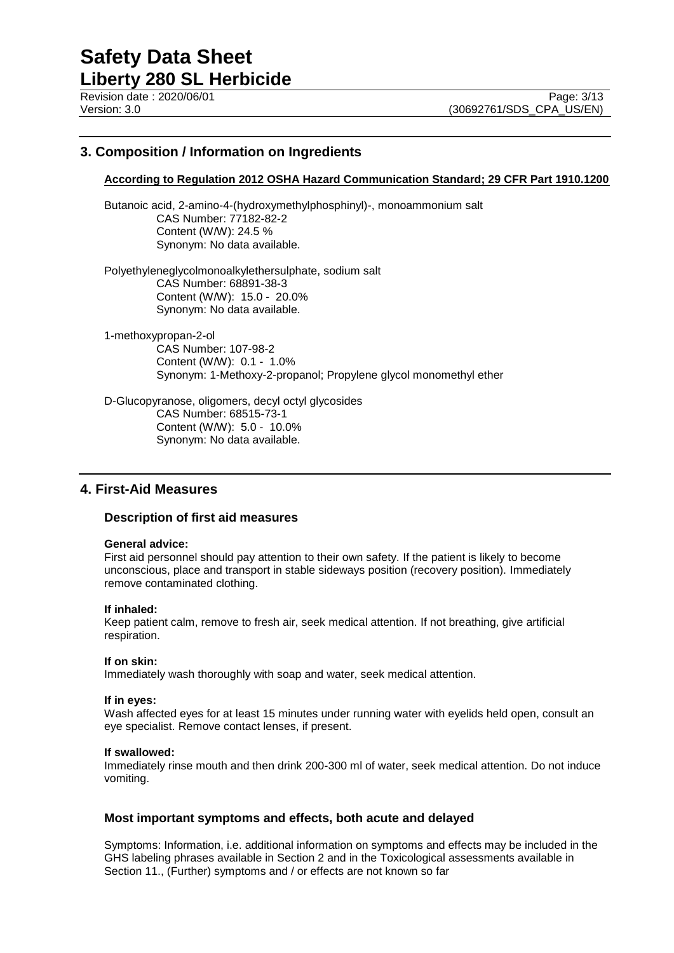## **3. Composition / Information on Ingredients**

## **According to Regulation 2012 OSHA Hazard Communication Standard; 29 CFR Part 1910.1200**

Butanoic acid, 2-amino-4-(hydroxymethylphosphinyl)-, monoammonium salt CAS Number: 77182-82-2 Content (W/W): 24.5 % Synonym: No data available.

Polyethyleneglycolmonoalkylethersulphate, sodium salt CAS Number: 68891-38-3 Content (W/W): 15.0 - 20.0% Synonym: No data available.

1-methoxypropan-2-ol CAS Number: 107-98-2 Content (W/W): 0.1 - 1.0% Synonym: 1-Methoxy-2-propanol; Propylene glycol monomethyl ether

D-Glucopyranose, oligomers, decyl octyl glycosides CAS Number: 68515-73-1 Content (W/W): 5.0 - 10.0% Synonym: No data available.

## **4. First-Aid Measures**

## **Description of first aid measures**

#### **General advice:**

First aid personnel should pay attention to their own safety. If the patient is likely to become unconscious, place and transport in stable sideways position (recovery position). Immediately remove contaminated clothing.

## **If inhaled:**

Keep patient calm, remove to fresh air, seek medical attention. If not breathing, give artificial respiration.

## **If on skin:**

Immediately wash thoroughly with soap and water, seek medical attention.

#### **If in eyes:**

Wash affected eyes for at least 15 minutes under running water with eyelids held open, consult an eye specialist. Remove contact lenses, if present.

#### **If swallowed:**

Immediately rinse mouth and then drink 200-300 ml of water, seek medical attention. Do not induce vomiting.

## **Most important symptoms and effects, both acute and delayed**

Symptoms: Information, i.e. additional information on symptoms and effects may be included in the GHS labeling phrases available in Section 2 and in the Toxicological assessments available in Section 11., (Further) symptoms and / or effects are not known so far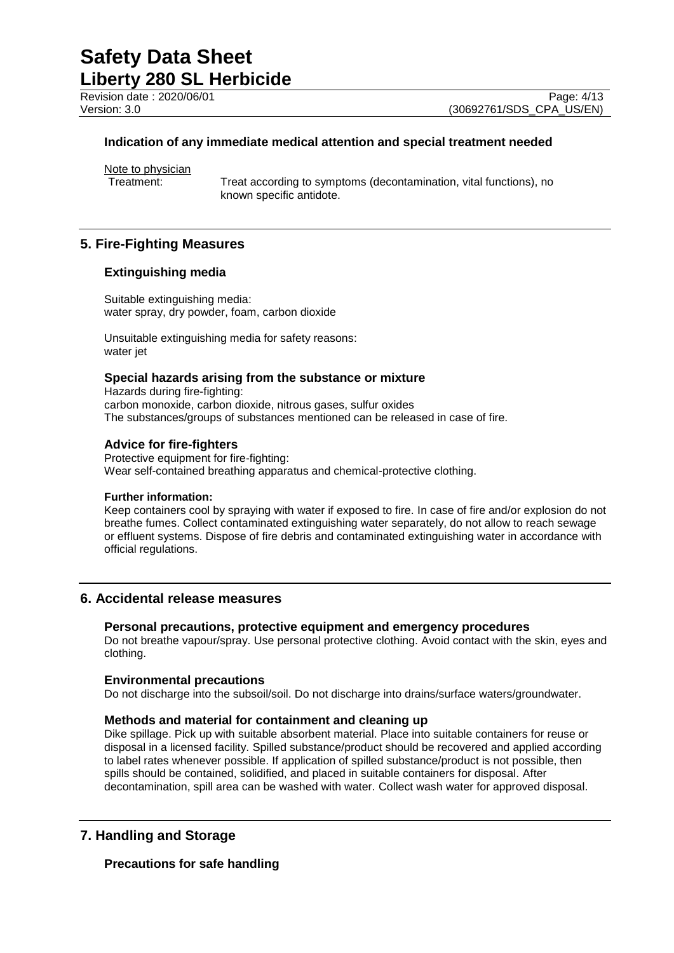Revision date : 2020/06/01 Page: 4/13<br>Version: 3.0 (30692761/SDS CPA US/EN)

(30692761/SDS\_CPA\_US/EN)

## **Indication of any immediate medical attention and special treatment needed**

Note to physician<br>Treatment:

Treat according to symptoms (decontamination, vital functions), no known specific antidote.

## **5. Fire-Fighting Measures**

## **Extinguishing media**

Suitable extinguishing media: water spray, dry powder, foam, carbon dioxide

Unsuitable extinguishing media for safety reasons: water jet

## **Special hazards arising from the substance or mixture**

Hazards during fire-fighting: carbon monoxide, carbon dioxide, nitrous gases, sulfur oxides The substances/groups of substances mentioned can be released in case of fire.

## **Advice for fire-fighters**

Protective equipment for fire-fighting: Wear self-contained breathing apparatus and chemical-protective clothing.

## **Further information:**

Keep containers cool by spraying with water if exposed to fire. In case of fire and/or explosion do not breathe fumes. Collect contaminated extinguishing water separately, do not allow to reach sewage or effluent systems. Dispose of fire debris and contaminated extinguishing water in accordance with official regulations.

## **6. Accidental release measures**

## **Personal precautions, protective equipment and emergency procedures**

Do not breathe vapour/spray. Use personal protective clothing. Avoid contact with the skin, eyes and clothing.

## **Environmental precautions**

Do not discharge into the subsoil/soil. Do not discharge into drains/surface waters/groundwater.

## **Methods and material for containment and cleaning up**

Dike spillage. Pick up with suitable absorbent material. Place into suitable containers for reuse or disposal in a licensed facility. Spilled substance/product should be recovered and applied according to label rates whenever possible. If application of spilled substance/product is not possible, then spills should be contained, solidified, and placed in suitable containers for disposal. After decontamination, spill area can be washed with water. Collect wash water for approved disposal.

## **7. Handling and Storage**

## **Precautions for safe handling**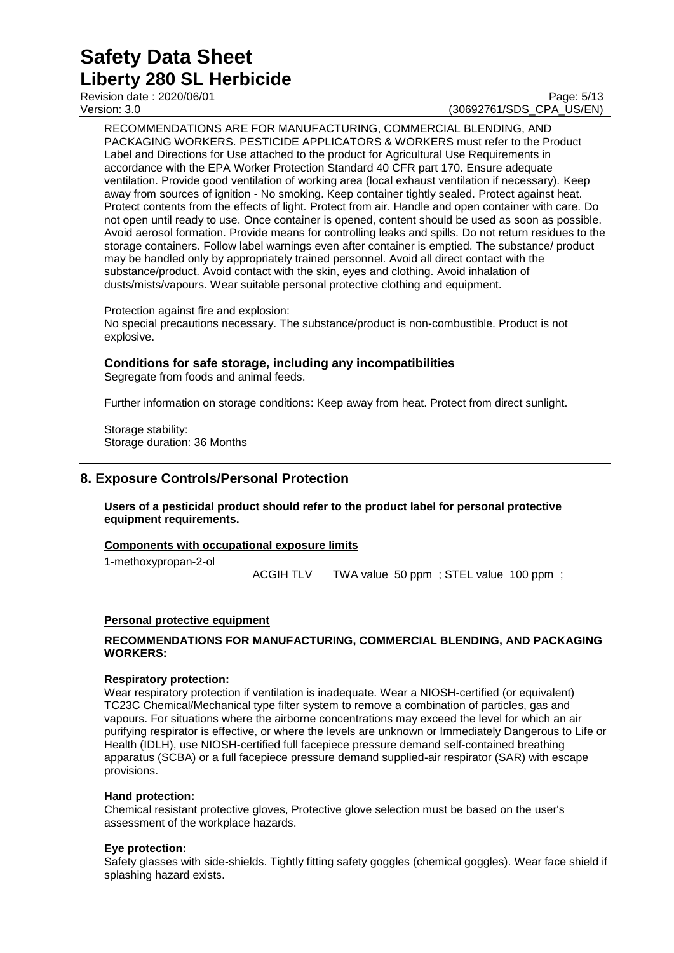## Revision date : 2020/06/01 Page: 5/13<br>Version: 3.0 (30692761/SDS CPA US/EN) (30692761/SDS CPA US/EN)

RECOMMENDATIONS ARE FOR MANUFACTURING, COMMERCIAL BLENDING, AND PACKAGING WORKERS. PESTICIDE APPLICATORS & WORKERS must refer to the Product Label and Directions for Use attached to the product for Agricultural Use Requirements in accordance with the EPA Worker Protection Standard 40 CFR part 170. Ensure adequate ventilation. Provide good ventilation of working area (local exhaust ventilation if necessary). Keep away from sources of ignition - No smoking. Keep container tightly sealed. Protect against heat. Protect contents from the effects of light. Protect from air. Handle and open container with care. Do not open until ready to use. Once container is opened, content should be used as soon as possible. Avoid aerosol formation. Provide means for controlling leaks and spills. Do not return residues to the storage containers. Follow label warnings even after container is emptied. The substance/ product may be handled only by appropriately trained personnel. Avoid all direct contact with the substance/product. Avoid contact with the skin, eyes and clothing. Avoid inhalation of dusts/mists/vapours. Wear suitable personal protective clothing and equipment.

Protection against fire and explosion:

No special precautions necessary. The substance/product is non-combustible. Product is not explosive.

## **Conditions for safe storage, including any incompatibilities**

Segregate from foods and animal feeds.

Further information on storage conditions: Keep away from heat. Protect from direct sunlight.

Storage stability: Storage duration: 36 Months

## **8. Exposure Controls/Personal Protection**

**Users of a pesticidal product should refer to the product label for personal protective equipment requirements.**

## **Components with occupational exposure limits**

1-methoxypropan-2-ol

ACGIH TLV TWA value 50 ppm ; STEL value 100 ppm ;

## **Personal protective equipment**

## **RECOMMENDATIONS FOR MANUFACTURING, COMMERCIAL BLENDING, AND PACKAGING WORKERS:**

## **Respiratory protection:**

Wear respiratory protection if ventilation is inadequate. Wear a NIOSH-certified (or equivalent) TC23C Chemical/Mechanical type filter system to remove a combination of particles, gas and vapours. For situations where the airborne concentrations may exceed the level for which an air purifying respirator is effective, or where the levels are unknown or Immediately Dangerous to Life or Health (IDLH), use NIOSH-certified full facepiece pressure demand self-contained breathing apparatus (SCBA) or a full facepiece pressure demand supplied-air respirator (SAR) with escape provisions.

## **Hand protection:**

Chemical resistant protective gloves, Protective glove selection must be based on the user's assessment of the workplace hazards.

## **Eye protection:**

Safety glasses with side-shields. Tightly fitting safety goggles (chemical goggles). Wear face shield if splashing hazard exists.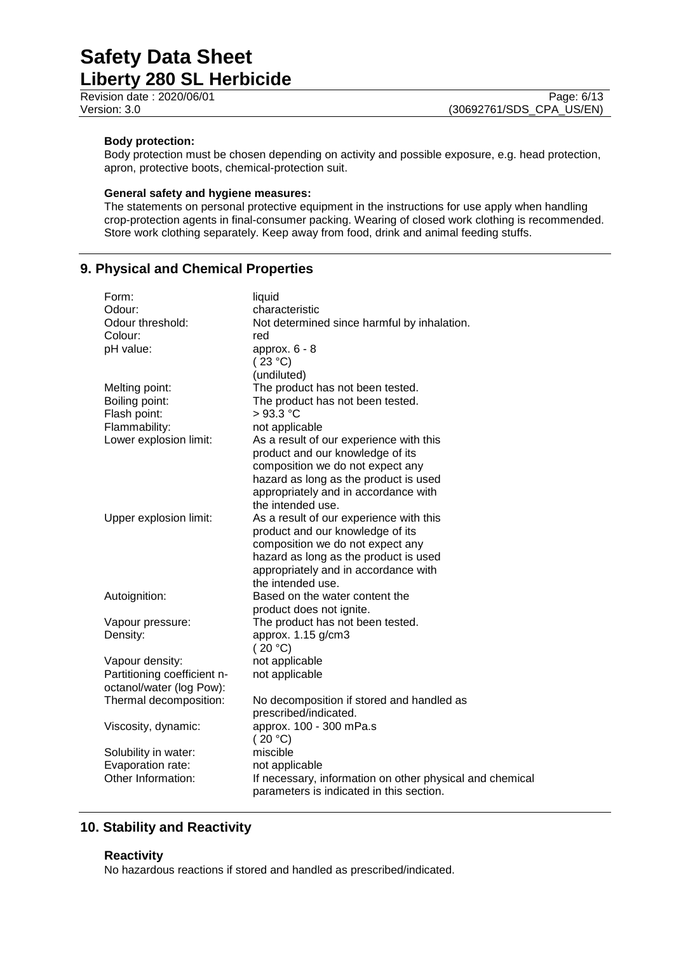Revision date : 2020/06/01 Page: 6/13<br>Version: 3.0 (30692761/SDS CPA US/EN)

## **Body protection:**

Body protection must be chosen depending on activity and possible exposure, e.g. head protection, apron, protective boots, chemical-protection suit.

## **General safety and hygiene measures:**

The statements on personal protective equipment in the instructions for use apply when handling crop-protection agents in final-consumer packing. Wearing of closed work clothing is recommended. Store work clothing separately. Keep away from food, drink and animal feeding stuffs.

## **9. Physical and Chemical Properties**

| Form:                       | liquid                                                   |
|-----------------------------|----------------------------------------------------------|
| Odour:                      | characteristic                                           |
| Odour threshold:            | Not determined since harmful by inhalation.              |
| Colour:                     | red                                                      |
| pH value:                   | approx. $6 - 8$                                          |
|                             | (23 °C)                                                  |
|                             | (undiluted)                                              |
| Melting point:              | The product has not been tested.                         |
| Boiling point:              | The product has not been tested.                         |
| Flash point:                | $>93.3$ °C                                               |
| Flammability:               | not applicable                                           |
| Lower explosion limit:      | As a result of our experience with this                  |
|                             | product and our knowledge of its                         |
|                             | composition we do not expect any                         |
|                             | hazard as long as the product is used                    |
|                             | appropriately and in accordance with                     |
|                             | the intended use.                                        |
| Upper explosion limit:      | As a result of our experience with this                  |
|                             | product and our knowledge of its                         |
|                             | composition we do not expect any                         |
|                             | hazard as long as the product is used                    |
|                             | appropriately and in accordance with                     |
|                             | the intended use.                                        |
| Autoignition:               | Based on the water content the                           |
|                             | product does not ignite.                                 |
| Vapour pressure:            | The product has not been tested.                         |
| Density:                    | approx. 1.15 g/cm3                                       |
|                             | (20 °C)                                                  |
| Vapour density:             | not applicable                                           |
| Partitioning coefficient n- | not applicable                                           |
| octanol/water (log Pow):    |                                                          |
| Thermal decomposition:      | No decomposition if stored and handled as                |
|                             | prescribed/indicated.                                    |
| Viscosity, dynamic:         | approx. 100 - 300 mPa.s                                  |
|                             | (20 °C)                                                  |
| Solubility in water:        | miscible                                                 |
| Evaporation rate:           | not applicable                                           |
| Other Information:          | If necessary, information on other physical and chemical |
|                             | parameters is indicated in this section.                 |
|                             |                                                          |

## **10. Stability and Reactivity**

## **Reactivity**

No hazardous reactions if stored and handled as prescribed/indicated.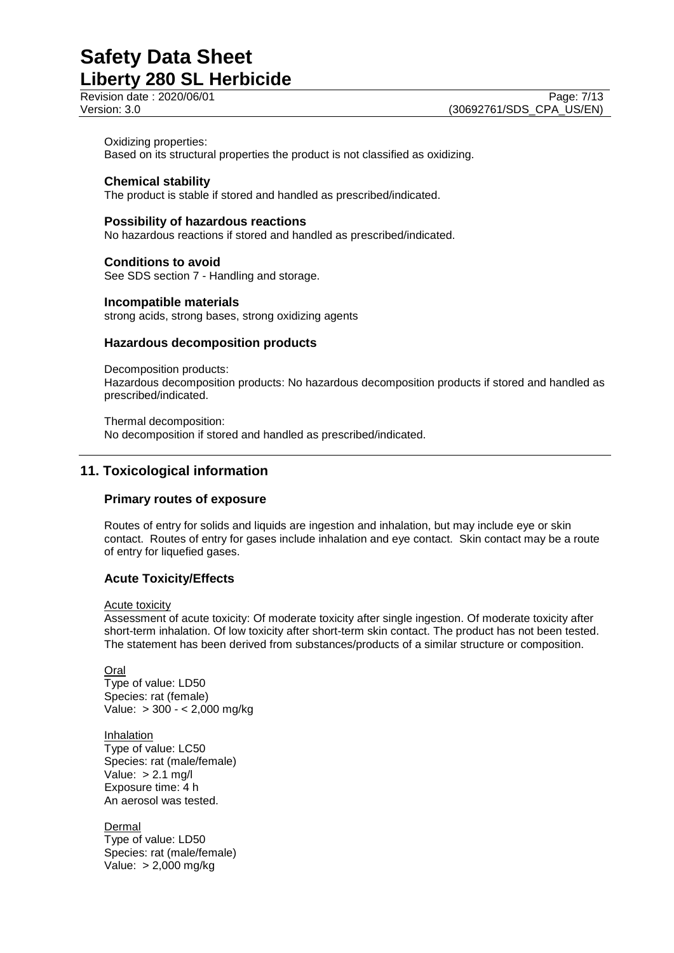#### Oxidizing properties:

Based on its structural properties the product is not classified as oxidizing.

## **Chemical stability**

The product is stable if stored and handled as prescribed/indicated.

## **Possibility of hazardous reactions**

No hazardous reactions if stored and handled as prescribed/indicated.

# **Conditions to avoid**

See SDS section 7 - Handling and storage.

## **Incompatible materials**

strong acids, strong bases, strong oxidizing agents

## **Hazardous decomposition products**

Decomposition products:

Hazardous decomposition products: No hazardous decomposition products if stored and handled as prescribed/indicated.

Thermal decomposition: No decomposition if stored and handled as prescribed/indicated.

## **11. Toxicological information**

## **Primary routes of exposure**

Routes of entry for solids and liquids are ingestion and inhalation, but may include eye or skin contact. Routes of entry for gases include inhalation and eye contact. Skin contact may be a route of entry for liquefied gases.

## **Acute Toxicity/Effects**

Acute toxicity

Assessment of acute toxicity: Of moderate toxicity after single ingestion. Of moderate toxicity after short-term inhalation. Of low toxicity after short-term skin contact. The product has not been tested. The statement has been derived from substances/products of a similar structure or composition.

Oral Type of value: LD50 Species: rat (female) Value: > 300 - < 2,000 mg/kg

**Inhalation** Type of value: LC50 Species: rat (male/female) Value:  $> 2.1$  mg/l Exposure time: 4 h An aerosol was tested.

Dermal Type of value: LD50 Species: rat (male/female) Value: > 2,000 mg/kg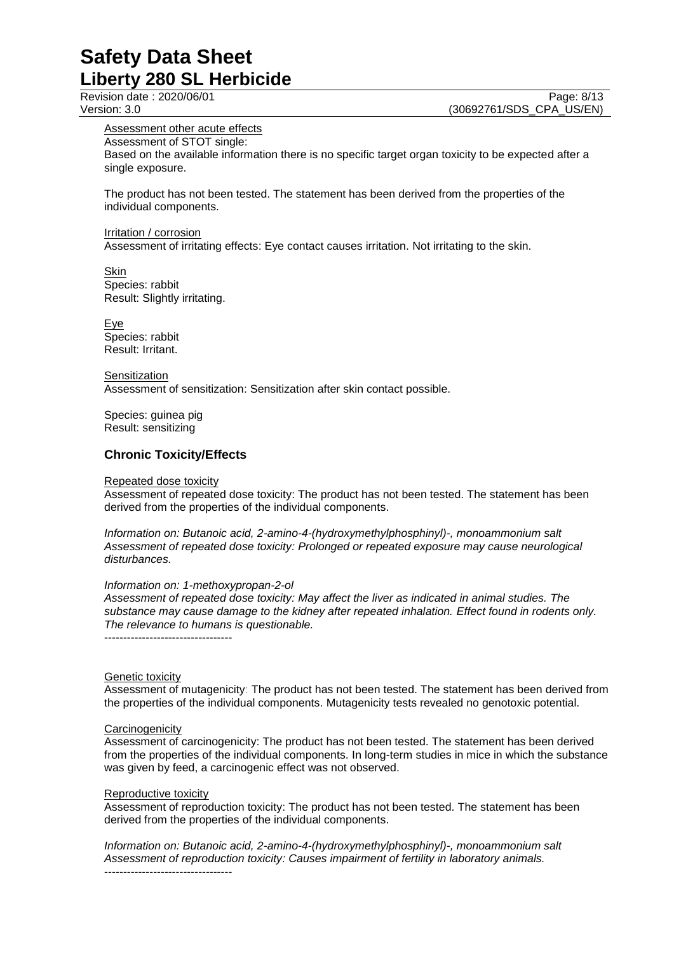Revision date : 2020/06/01 Page: 8/13<br>Version: 3.0 (30692761/SDS CPA US/EN) (30692761/SDS\_CPA\_US/EN)

## Assessment other acute effects

Assessment of STOT single:

Based on the available information there is no specific target organ toxicity to be expected after a single exposure.

The product has not been tested. The statement has been derived from the properties of the individual components.

#### Irritation / corrosion

Assessment of irritating effects: Eye contact causes irritation. Not irritating to the skin.

#### Skin

Species: rabbit Result: Slightly irritating.

Eye Species: rabbit Result: Irritant.

**Sensitization** Assessment of sensitization: Sensitization after skin contact possible.

Species: guinea pig Result: sensitizing

## **Chronic Toxicity/Effects**

#### Repeated dose toxicity

Assessment of repeated dose toxicity: The product has not been tested. The statement has been derived from the properties of the individual components.

*Information on: Butanoic acid, 2-amino-4-(hydroxymethylphosphinyl)-, monoammonium salt Assessment of repeated dose toxicity: Prolonged or repeated exposure may cause neurological disturbances.*

#### *Information on: 1-methoxypropan-2-ol*

*Assessment of repeated dose toxicity: May affect the liver as indicated in animal studies. The substance may cause damage to the kidney after repeated inhalation. Effect found in rodents only. The relevance to humans is questionable.*

----------------------------------

## Genetic toxicity

Assessment of mutagenicity: The product has not been tested. The statement has been derived from the properties of the individual components. Mutagenicity tests revealed no genotoxic potential.

## **Carcinogenicity**

Assessment of carcinogenicity: The product has not been tested. The statement has been derived from the properties of the individual components. In long-term studies in mice in which the substance was given by feed, a carcinogenic effect was not observed.

## Reproductive toxicity

Assessment of reproduction toxicity: The product has not been tested. The statement has been derived from the properties of the individual components.

*Information on: Butanoic acid, 2-amino-4-(hydroxymethylphosphinyl)-, monoammonium salt Assessment of reproduction toxicity: Causes impairment of fertility in laboratory animals.* ----------------------------------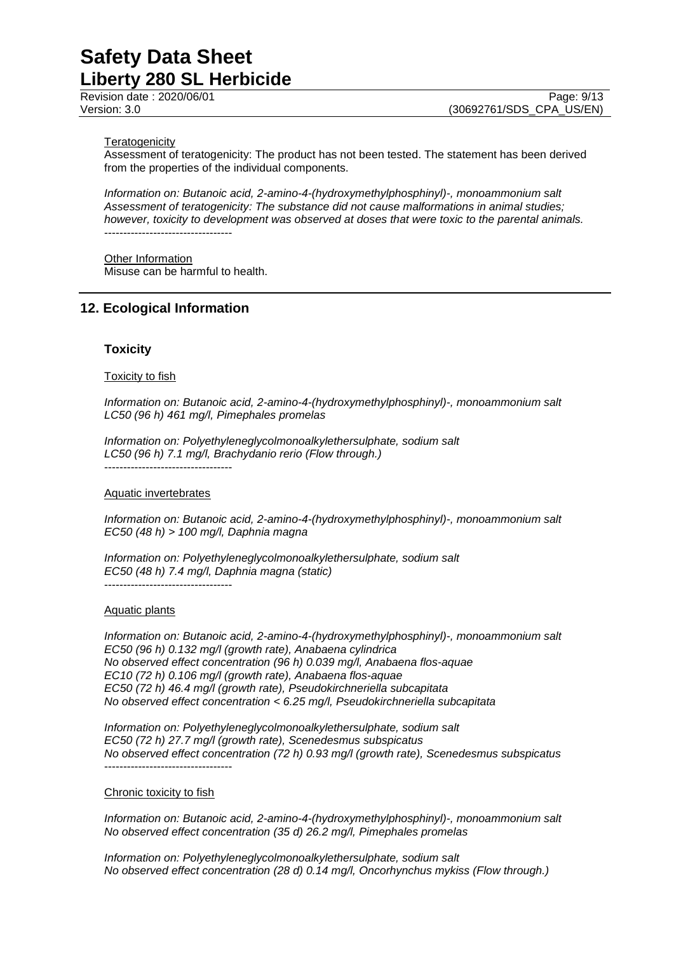#### **Teratogenicity**

Assessment of teratogenicity: The product has not been tested. The statement has been derived from the properties of the individual components.

*Information on: Butanoic acid, 2-amino-4-(hydroxymethylphosphinyl)-, monoammonium salt Assessment of teratogenicity: The substance did not cause malformations in animal studies; however, toxicity to development was observed at doses that were toxic to the parental animals.* ----------------------------------

Other Information Misuse can be harmful to health.

## **12. Ecological Information**

## **Toxicity**

#### **Toxicity to fish**

*Information on: Butanoic acid, 2-amino-4-(hydroxymethylphosphinyl)-, monoammonium salt LC50 (96 h) 461 mg/l, Pimephales promelas*

*Information on: Polyethyleneglycolmonoalkylethersulphate, sodium salt LC50 (96 h) 7.1 mg/l, Brachydanio rerio (Flow through.)*

----------------------------------

----------------------------------

#### Aquatic invertebrates

*Information on: Butanoic acid, 2-amino-4-(hydroxymethylphosphinyl)-, monoammonium salt EC50 (48 h) > 100 mg/l, Daphnia magna*

*Information on: Polyethyleneglycolmonoalkylethersulphate, sodium salt EC50 (48 h) 7.4 mg/l, Daphnia magna (static)*

#### Aquatic plants

*Information on: Butanoic acid, 2-amino-4-(hydroxymethylphosphinyl)-, monoammonium salt EC50 (96 h) 0.132 mg/l (growth rate), Anabaena cylindrica No observed effect concentration (96 h) 0.039 mg/l, Anabaena flos-aquae EC10 (72 h) 0.106 mg/l (growth rate), Anabaena flos-aquae EC50 (72 h) 46.4 mg/l (growth rate), Pseudokirchneriella subcapitata No observed effect concentration < 6.25 mg/l, Pseudokirchneriella subcapitata*

*Information on: Polyethyleneglycolmonoalkylethersulphate, sodium salt EC50 (72 h) 27.7 mg/l (growth rate), Scenedesmus subspicatus No observed effect concentration (72 h) 0.93 mg/l (growth rate), Scenedesmus subspicatus* ----------------------------------

#### Chronic toxicity to fish

*Information on: Butanoic acid, 2-amino-4-(hydroxymethylphosphinyl)-, monoammonium salt No observed effect concentration (35 d) 26.2 mg/l, Pimephales promelas*

*Information on: Polyethyleneglycolmonoalkylethersulphate, sodium salt No observed effect concentration (28 d) 0.14 mg/l, Oncorhynchus mykiss (Flow through.)*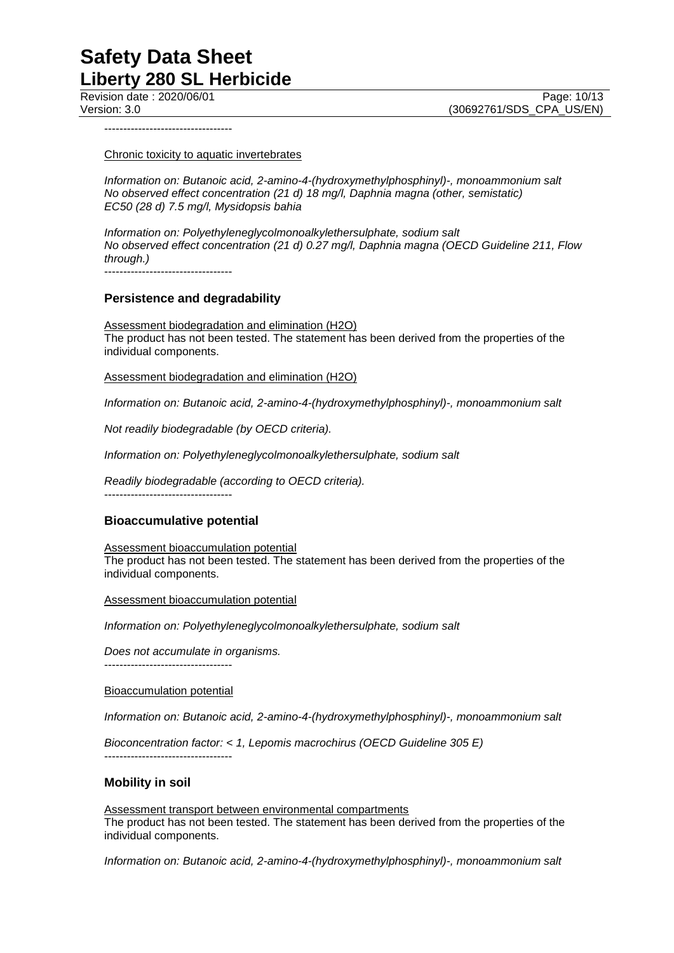----------------------------------

Chronic toxicity to aquatic invertebrates

*Information on: Butanoic acid, 2-amino-4-(hydroxymethylphosphinyl)-, monoammonium salt No observed effect concentration (21 d) 18 mg/l, Daphnia magna (other, semistatic) EC50 (28 d) 7.5 mg/l, Mysidopsis bahia*

*Information on: Polyethyleneglycolmonoalkylethersulphate, sodium salt No observed effect concentration (21 d) 0.27 mg/l, Daphnia magna (OECD Guideline 211, Flow through.)*

----------------------------------

## **Persistence and degradability**

Assessment biodegradation and elimination (H2O) The product has not been tested. The statement has been derived from the properties of the individual components.

Assessment biodegradation and elimination (H2O)

*Information on: Butanoic acid, 2-amino-4-(hydroxymethylphosphinyl)-, monoammonium salt*

*Not readily biodegradable (by OECD criteria).*

*Information on: Polyethyleneglycolmonoalkylethersulphate, sodium salt*

*Readily biodegradable (according to OECD criteria).*

----------------------------------

## **Bioaccumulative potential**

Assessment bioaccumulation potential The product has not been tested. The statement has been derived from the properties of the individual components.

Assessment bioaccumulation potential

*Information on: Polyethyleneglycolmonoalkylethersulphate, sodium salt*

*Does not accumulate in organisms.*

----------------------------------

Bioaccumulation potential

*Information on: Butanoic acid, 2-amino-4-(hydroxymethylphosphinyl)-, monoammonium salt*

*Bioconcentration factor: < 1, Lepomis macrochirus (OECD Guideline 305 E)* ----------------------------------

## **Mobility in soil**

Assessment transport between environmental compartments The product has not been tested. The statement has been derived from the properties of the individual components.

*Information on: Butanoic acid, 2-amino-4-(hydroxymethylphosphinyl)-, monoammonium salt*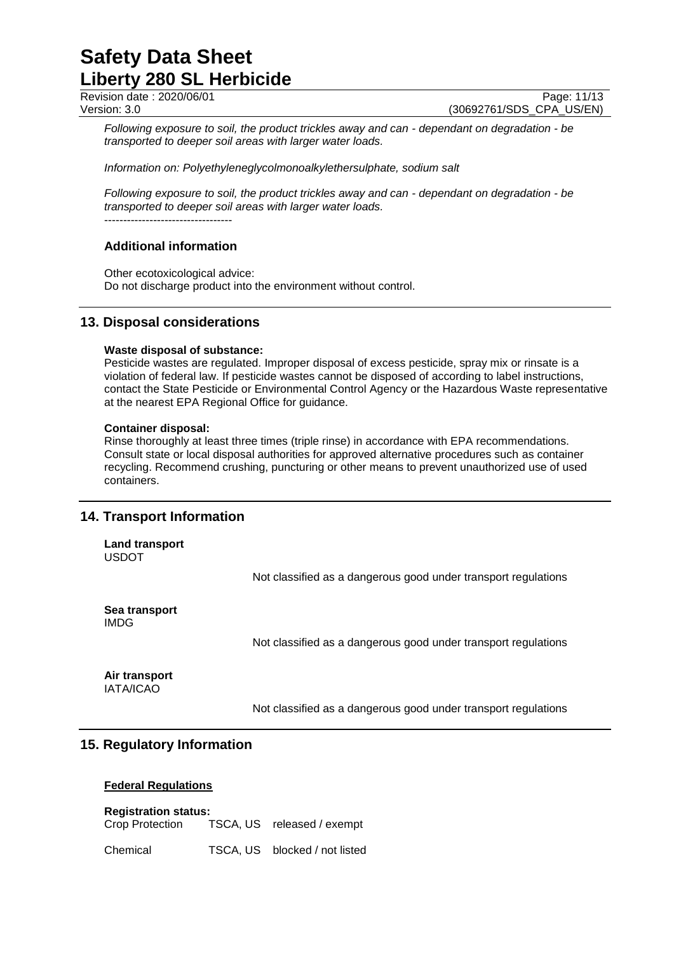Revision date : 2020/06/01 Page: 11/13<br>Version: 3.0 (30692761/SDS CPA US/EN) (30692761/SDS CPA US/EN)

*Following exposure to soil, the product trickles away and can - dependant on degradation - be transported to deeper soil areas with larger water loads.*

*Information on: Polyethyleneglycolmonoalkylethersulphate, sodium salt*

*Following exposure to soil, the product trickles away and can - dependant on degradation - be transported to deeper soil areas with larger water loads.* ----------------------------------

## **Additional information**

Other ecotoxicological advice: Do not discharge product into the environment without control.

## **13. Disposal considerations**

## **Waste disposal of substance:**

Pesticide wastes are regulated. Improper disposal of excess pesticide, spray mix or rinsate is a violation of federal law. If pesticide wastes cannot be disposed of according to label instructions, contact the State Pesticide or Environmental Control Agency or the Hazardous Waste representative at the nearest EPA Regional Office for guidance.

## **Container disposal:**

Rinse thoroughly at least three times (triple rinse) in accordance with EPA recommendations. Consult state or local disposal authorities for approved alternative procedures such as container recycling. Recommend crushing, puncturing or other means to prevent unauthorized use of used containers.

## **14. Transport Information**

**Land transport** USDOT

Not classified as a dangerous good under transport regulations

**Sea transport** IMDG

Not classified as a dangerous good under transport regulations

**Air transport** IATA/ICAO

Not classified as a dangerous good under transport regulations

## **15. Regulatory Information**

## **Federal Regulations**

**Registration status:** Crop Protection TSCA, US released / exempt

Chemical TSCA, US blocked / not listed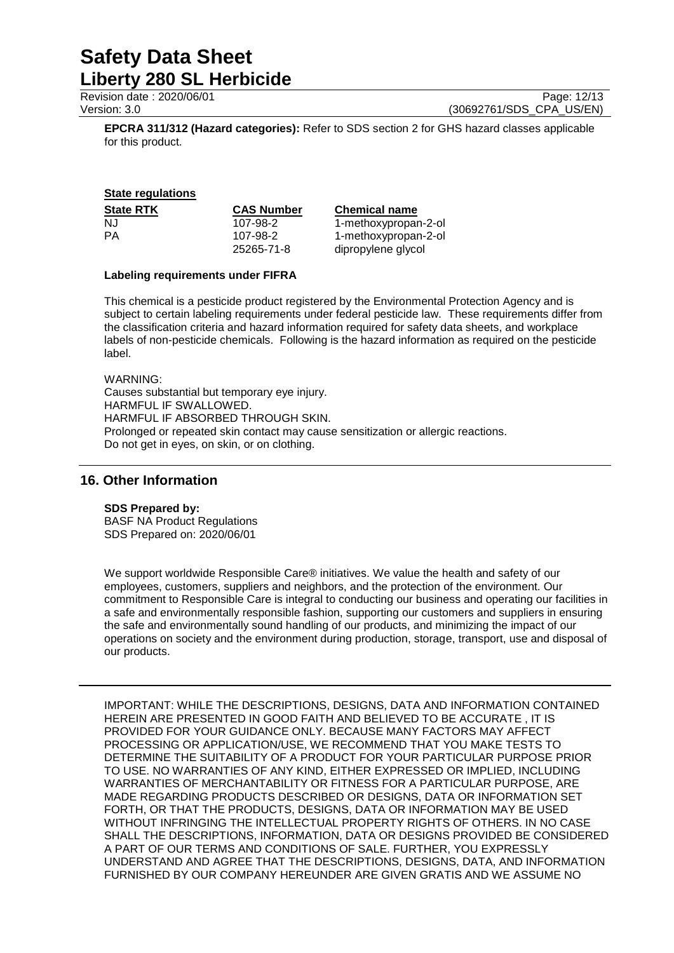Revision date : 2020/06/01 Page: 12/13<br>Version: 3.0 (30692761/SDS CPA US/EN) (30692761/SDS CPA US/EN)

**EPCRA 311/312 (Hazard categories):** Refer to SDS section 2 for GHS hazard classes applicable for this product.

## **State regulations**

| <b>State RTK</b> | <b>CAS Number</b> | <b>Chemical name</b> |
|------------------|-------------------|----------------------|
| NJ.              | 107-98-2          | 1-methoxypropan-2-ol |
| РA               | 107-98-2          | 1-methoxypropan-2-ol |
|                  | 25265-71-8        | dipropylene glycol   |

## **Labeling requirements under FIFRA**

This chemical is a pesticide product registered by the Environmental Protection Agency and is subject to certain labeling requirements under federal pesticide law. These requirements differ from the classification criteria and hazard information required for safety data sheets, and workplace labels of non-pesticide chemicals. Following is the hazard information as required on the pesticide label.

WARNING:

Causes substantial but temporary eye injury. HARMFUL IF SWALLOWED. HARMFUL IF ABSORBED THROUGH SKIN. Prolonged or repeated skin contact may cause sensitization or allergic reactions. Do not get in eyes, on skin, or on clothing.

## **16. Other Information**

## **SDS Prepared by:**

BASF NA Product Regulations SDS Prepared on: 2020/06/01

We support worldwide Responsible Care® initiatives. We value the health and safety of our employees, customers, suppliers and neighbors, and the protection of the environment. Our commitment to Responsible Care is integral to conducting our business and operating our facilities in a safe and environmentally responsible fashion, supporting our customers and suppliers in ensuring the safe and environmentally sound handling of our products, and minimizing the impact of our operations on society and the environment during production, storage, transport, use and disposal of our products.

IMPORTANT: WHILE THE DESCRIPTIONS, DESIGNS, DATA AND INFORMATION CONTAINED HEREIN ARE PRESENTED IN GOOD FAITH AND BELIEVED TO BE ACCURATE , IT IS PROVIDED FOR YOUR GUIDANCE ONLY. BECAUSE MANY FACTORS MAY AFFECT PROCESSING OR APPLICATION/USE, WE RECOMMEND THAT YOU MAKE TESTS TO DETERMINE THE SUITABILITY OF A PRODUCT FOR YOUR PARTICULAR PURPOSE PRIOR TO USE. NO WARRANTIES OF ANY KIND, EITHER EXPRESSED OR IMPLIED, INCLUDING WARRANTIES OF MERCHANTABILITY OR FITNESS FOR A PARTICULAR PURPOSE, ARE MADE REGARDING PRODUCTS DESCRIBED OR DESIGNS, DATA OR INFORMATION SET FORTH, OR THAT THE PRODUCTS, DESIGNS, DATA OR INFORMATION MAY BE USED WITHOUT INFRINGING THE INTELLECTUAL PROPERTY RIGHTS OF OTHERS. IN NO CASE SHALL THE DESCRIPTIONS, INFORMATION, DATA OR DESIGNS PROVIDED BE CONSIDERED A PART OF OUR TERMS AND CONDITIONS OF SALE. FURTHER, YOU EXPRESSLY UNDERSTAND AND AGREE THAT THE DESCRIPTIONS, DESIGNS, DATA, AND INFORMATION FURNISHED BY OUR COMPANY HEREUNDER ARE GIVEN GRATIS AND WE ASSUME NO